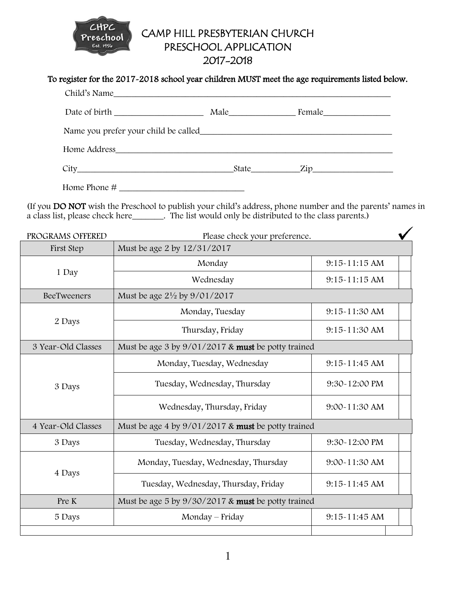

# CAMP HILL PRESBYTERIAN CHURCH PRESCHOOL APPLICATION

## 2017-2018

#### To register for the 2017-2018 school year children MUST meet the age requirements listed below.

| Child's Name |  |
|--------------|--|
|              |  |
|              |  |
|              |  |
|              |  |
| Home Phone # |  |

(If you DO NOT wish the Preschool to publish your child's address, phone number and the parents' names in a class list, please check here\_\_\_\_\_\_\_. The list would only be distributed to the class parents.)

| PROGRAMS OFFERED   | Please check your preference.                      |                   |  |
|--------------------|----------------------------------------------------|-------------------|--|
| First Step         | Must be age 2 by 12/31/2017                        |                   |  |
| 1 Day              | Monday                                             | 9:15-11:15 AM     |  |
|                    | Wednesday                                          | $9:15-11:15$ AM   |  |
| BeeTweeners        | Must be age $2\frac{1}{2}$ by $9/01/2017$          |                   |  |
| 2 Days             | Monday, Tuesday                                    | 9:15~11:30 AM     |  |
|                    | Thursday, Friday                                   | 9:15~11:30 AM     |  |
| 3 Year-Old Classes | Must be age 3 by 9/01/2017 & must be potty trained |                   |  |
| 3 Days             | Monday, Tuesday, Wednesday                         | $9:15-11:45$ AM   |  |
|                    | Tuesday, Wednesday, Thursday                       | 9:30~12:00 PM     |  |
|                    | Wednesday, Thursday, Friday                        | $9:00 - 11:30$ AM |  |
| 4 Year-Old Classes | Must be age 4 by 9/01/2017 & must be potty trained |                   |  |
| 3 Days             | Tuesday, Wednesday, Thursday                       | 9:30~12:00 PM     |  |
| 4 Days             | Monday, Tuesday, Wednesday, Thursday               | 9:00~11:30 AM     |  |
|                    | Tuesday, Wednesday, Thursday, Friday               | $9:15-11:45$ AM   |  |
| Pre K              | Must be age 5 by 9/30/2017 & must be potty trained |                   |  |
| 5 Days             | Monday – Friday                                    | 9:15-11:45 AM     |  |
|                    |                                                    |                   |  |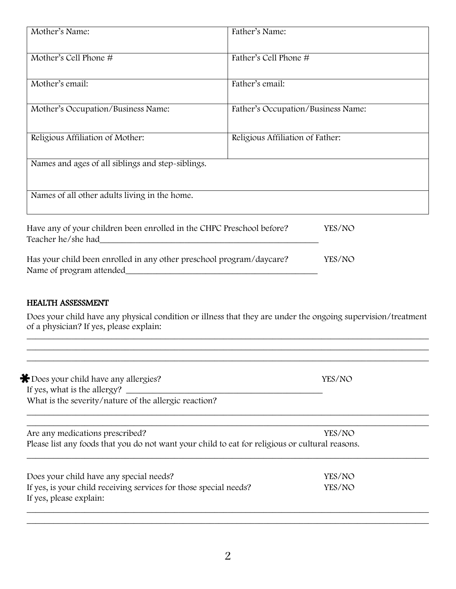| Mother's Name:                                                                                   | Father's Name:                     |
|--------------------------------------------------------------------------------------------------|------------------------------------|
| Mother's Cell Phone #                                                                            | Father's Cell Phone #              |
| Mother's email:                                                                                  | Father's email:                    |
| Mother's Occupation/Business Name:                                                               | Father's Occupation/Business Name: |
| Religious Affiliation of Mother:                                                                 | Religious Affiliation of Father:   |
| Names and ages of all siblings and step-siblings.                                                |                                    |
| Names of all other adults living in the home.                                                    |                                    |
| Have any of your children been enrolled in the CHPC Preschool before?<br>Teacher he/she had      | YES/NO                             |
| Has your child been enrolled in any other preschool program/daycare?<br>Name of program attended | YES/NO                             |

#### HEALTH ASSESSMENT

Does your child have any physical condition or illness that they are under the ongoing supervision/treatment of a physician? If yes, please explain:

 $\_$  , and the contribution of the contribution of  $\mathcal{L}$  , and  $\mathcal{L}$  , and  $\mathcal{L}$  , and  $\mathcal{L}$  , and  $\mathcal{L}$  $\_$  , and the contribution of the contribution of  $\mathcal{L}$  , and  $\mathcal{L}$  , and  $\mathcal{L}$  , and  $\mathcal{L}$  , and  $\mathcal{L}$ 

| * Does your child have any allergies?                                                           | YES/NO |
|-------------------------------------------------------------------------------------------------|--------|
| If yes, what is the allergy?                                                                    |        |
| What is the severity/nature of the allergic reaction?                                           |        |
| Are any medications prescribed?                                                                 | YES/NO |
| Please list any foods that you do not want your child to eat for religious or cultural reasons. |        |
| Does your child have any special needs?                                                         | YES/NO |
| If yes, is your child receiving services for those special needs?                               | YES/NO |
|                                                                                                 |        |

 $\_$  ,  $\_$  ,  $\_$  ,  $\_$  ,  $\_$  ,  $\_$  ,  $\_$  ,  $\_$  ,  $\_$  ,  $\_$  ,  $\_$  ,  $\_$  ,  $\_$  ,  $\_$  ,  $\_$  ,  $\_$  ,  $\_$  ,  $\_$  ,  $\_$  ,  $\_$  ,  $\_$  ,  $\_$  ,  $\_$  ,  $\_$  ,  $\_$  ,  $\_$  ,  $\_$  ,  $\_$  ,  $\_$  ,  $\_$  ,  $\_$  ,  $\_$  ,  $\_$  ,  $\_$  ,  $\_$  ,  $\_$  ,  $\_$  ,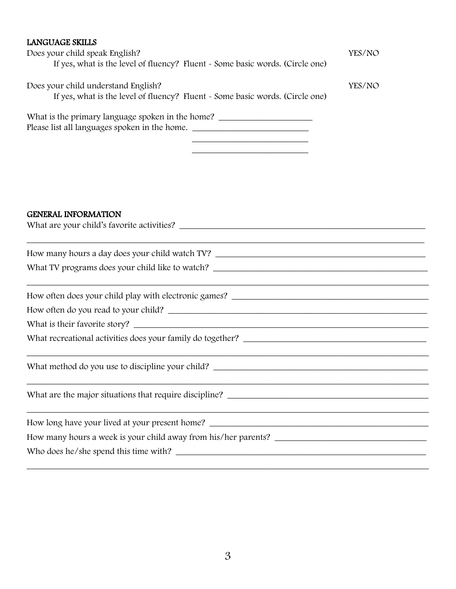| <b>LANGUAGE SKILLS</b>                                                                                               |        |
|----------------------------------------------------------------------------------------------------------------------|--------|
| Does your child speak English?                                                                                       | YES/NO |
| If yes, what is the level of fluency? Fluent - Some basic words. (Circle one)                                        |        |
| Does your child understand English?                                                                                  | YES/NO |
| If yes, what is the level of fluency? Fluent - Some basic words. (Circle one)                                        |        |
| What is the primary language spoken in the home?                                                                     |        |
| Please list all languages spoken in the home. __________________________________                                     |        |
| the control of the control of the control of the control of the control of the control of                            |        |
| <u> 1989 - Johann John Stein, markin fan it ferstjer fan it ferstjer fan it ferstjer fan it ferstjer fan it fers</u> |        |
|                                                                                                                      |        |
|                                                                                                                      |        |
|                                                                                                                      |        |
| <b>GENERAL INFORMATION</b>                                                                                           |        |
|                                                                                                                      |        |
|                                                                                                                      |        |
|                                                                                                                      |        |
| What TV programs does your child like to watch?                                                                      |        |
|                                                                                                                      |        |
|                                                                                                                      |        |
|                                                                                                                      |        |
|                                                                                                                      |        |
|                                                                                                                      |        |
|                                                                                                                      |        |
| What method do you use to discipline your child?                                                                     |        |
|                                                                                                                      |        |
|                                                                                                                      |        |
|                                                                                                                      |        |
|                                                                                                                      |        |
|                                                                                                                      |        |
|                                                                                                                      |        |
|                                                                                                                      |        |